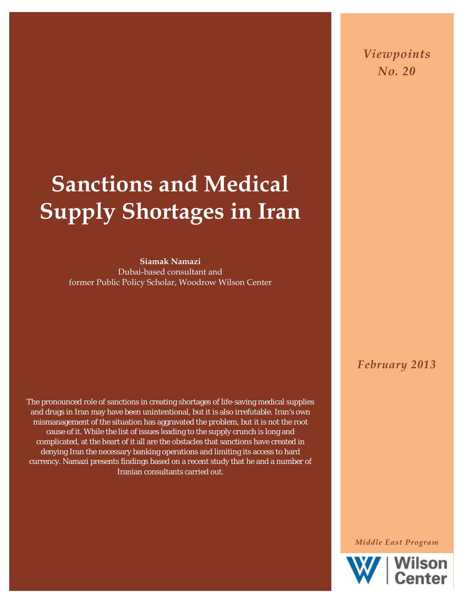*Viewpoints No. 20*

# **Sanctions and Medical Supply Shortages in Iran**

**Siamak Namazi** Dubai-based consultant and former Public Policy Scholar, Woodrow Wilson Center

The pronounced role of sanctions in creating shortages of life-saving medical supplies and drugs in Iran may have been unintentional, but it is also irrefutable. Iran's own mismanagement of the situation has aggravated the problem, but it is not the root cause of it. While the list of issues leading to the supply crunch is long and complicated, at the heart of it all are the obstacles that sanctions have created in denying Iran the necessary banking operations and limiting its access to hard currency. Namazi presents findings based on a recent study that he and a number of Iranian consultants carried out.

*February 2013*

*Middle East Program*

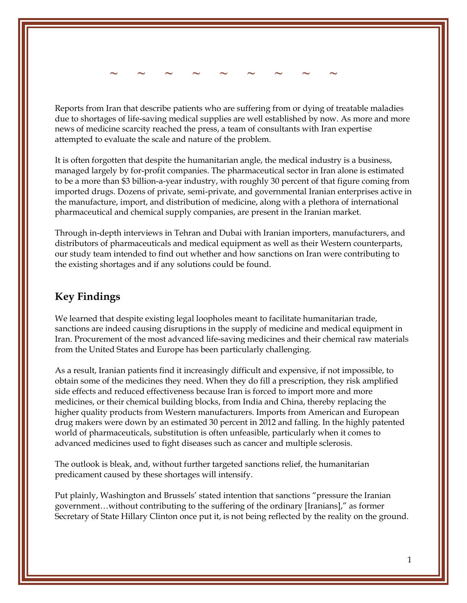*~* **~ ~ ~ ~ ~ ~ ~ ~ ~** 

Reports from Iran that describe patients who are suffering from or dying of treatable maladies due to shortages of life-saving medical supplies are well established by now. As more and more news of medicine scarcity reached the press, a team of consultants with Iran expertise attempted to evaluate the scale and nature of the problem.

It is often forgotten that despite the humanitarian angle, the medical industry is a business, managed largely by for-profit companies. The pharmaceutical sector in Iran alone is estimated to be a more than \$3 billion-a-year industry, with roughly 30 percent of that figure coming from imported drugs. Dozens of private, semi-private, and governmental Iranian enterprises active in the manufacture, import, and distribution of medicine, along with a plethora of international pharmaceutical and chemical supply companies, are present in the Iranian market.

Through in-depth interviews in Tehran and Dubai with Iranian importers, manufacturers, and distributors of pharmaceuticals and medical equipment as well as their Western counterparts, our study team intended to find out whether and how sanctions on Iran were contributing to the existing shortages and if any solutions could be found.

#### **Key Findings**

We learned that despite existing legal loopholes meant to facilitate humanitarian trade, sanctions are indeed causing disruptions in the supply of medicine and medical equipment in Iran. Procurement of the most advanced life-saving medicines and their chemical raw materials from the United States and Europe has been particularly challenging.

As a result, Iranian patients find it increasingly difficult and expensive, if not impossible, to obtain some of the medicines they need. When they do fill a prescription, they risk amplified side effects and reduced effectiveness because Iran is forced to import more and more medicines, or their chemical building blocks, from India and China, thereby replacing the higher quality products from Western manufacturers. Imports from American and European drug makers were down by an estimated 30 percent in 2012 and falling. In the highly patented world of pharmaceuticals, substitution is often unfeasible, particularly when it comes to advanced medicines used to fight diseases such as cancer and multiple sclerosis.

The outlook is bleak, and, without further targeted sanctions relief, the humanitarian predicament caused by these shortages will intensify.

Put plainly, Washington and Brussels' stated intention that sanctions "pressure the Iranian government…without contributing to the suffering of the ordinary [Iranians]," as former Secretary of State Hillary Clinton once put it, is not being reflected by the reality on the ground.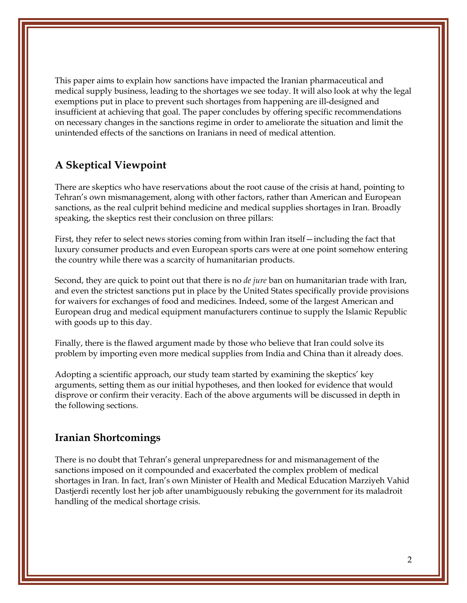This paper aims to explain how sanctions have impacted the Iranian pharmaceutical and medical supply business, leading to the shortages we see today. It will also look at why the legal exemptions put in place to prevent such shortages from happening are ill-designed and insufficient at achieving that goal. The paper concludes by offering specific recommendations on necessary changes in the sanctions regime in order to ameliorate the situation and limit the unintended effects of the sanctions on Iranians in need of medical attention.

#### **A Skeptical Viewpoint**

There are skeptics who have reservations about the root cause of the crisis at hand, pointing to Tehran's own mismanagement, along with other factors, rather than American and European sanctions, as the real culprit behind medicine and medical supplies shortages in Iran. Broadly speaking, the skeptics rest their conclusion on three pillars:

First, they refer to select news stories coming from within Iran itself—including the fact that luxury consumer products and even European sports cars were at one point somehow entering the country while there was a scarcity of humanitarian products.

Second, they are quick to point out that there is no *de jure* ban on humanitarian trade with Iran, and even the strictest sanctions put in place by the United States specifically provide provisions for waivers for exchanges of food and medicines. Indeed, some of the largest American and European drug and medical equipment manufacturers continue to supply the Islamic Republic with goods up to this day.

Finally, there is the flawed argument made by those who believe that Iran could solve its problem by importing even more medical supplies from India and China than it already does.

Adopting a scientific approach, our study team started by examining the skeptics' key arguments, setting them as our initial hypotheses, and then looked for evidence that would disprove or confirm their veracity. Each of the above arguments will be discussed in depth in the following sections.

#### **Iranian Shortcomings**

There is no doubt that Tehran's general unpreparedness for and mismanagement of the sanctions imposed on it compounded and exacerbated the complex problem of medical shortages in Iran. In fact, Iran's own Minister of Health and Medical Education Marziyeh Vahid Dastjerdi recently lost her job after unambiguously rebuking the government for its maladroit handling of the medical shortage crisis.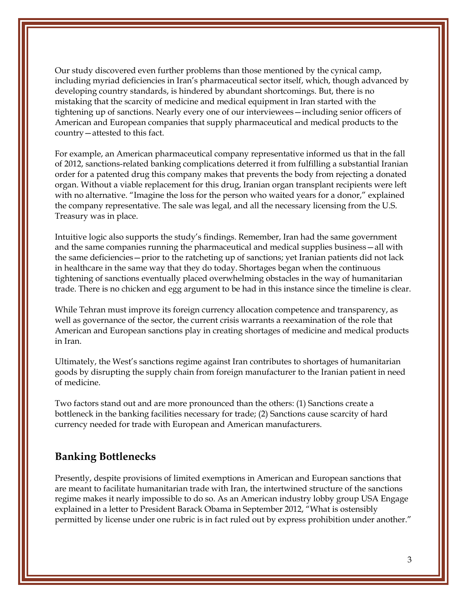Our study discovered even further problems than those mentioned by the cynical camp, including myriad deficiencies in Iran's pharmaceutical sector itself, which, though advanced by developing country standards, is hindered by abundant shortcomings. But, there is no mistaking that the scarcity of medicine and medical equipment in Iran started with the tightening up of sanctions. Nearly every one of our interviewees—including senior officers of American and European companies that supply pharmaceutical and medical products to the country—attested to this fact.

For example, an American pharmaceutical company representative informed us that in the fall of 2012, sanctions-related banking complications deterred it from fulfilling a substantial Iranian order for a patented drug this company makes that prevents the body from rejecting a donated organ. Without a viable replacement for this drug, Iranian organ transplant recipients were left with no alternative. "Imagine the loss for the person who waited years for a donor," explained the company representative. The sale was legal, and all the necessary licensing from the U.S. Treasury was in place.

Intuitive logic also supports the study's findings. Remember, Iran had the same government and the same companies running the pharmaceutical and medical supplies business—all with the same deficiencies—prior to the ratcheting up of sanctions; yet Iranian patients did not lack in healthcare in the same way that they do today. Shortages began when the continuous tightening of sanctions eventually placed overwhelming obstacles in the way of humanitarian trade. There is no chicken and egg argument to be had in this instance since the timeline is clear.

While Tehran must improve its foreign currency allocation competence and transparency, as well as governance of the sector, the current crisis warrants a reexamination of the role that American and European sanctions play in creating shortages of medicine and medical products in Iran.

Ultimately, the West's sanctions regime against Iran contributes to shortages of humanitarian goods by disrupting the supply chain from foreign manufacturer to the Iranian patient in need of medicine.

Two factors stand out and are more pronounced than the others: (1) Sanctions create a bottleneck in the banking facilities necessary for trade; (2) Sanctions cause scarcity of hard currency needed for trade with European and American manufacturers.

#### **Banking Bottlenecks**

Presently, despite provisions of limited exemptions in American and European sanctions that are meant to facilitate humanitarian trade with Iran, the intertwined structure of the sanctions regime makes it nearly impossible to do so. As an American industry lobby group USA Engage explained in a letter to President Barack Obama in September 2012, "What is ostensibly permitted by license under one rubric is in fact ruled out by express prohibition under another."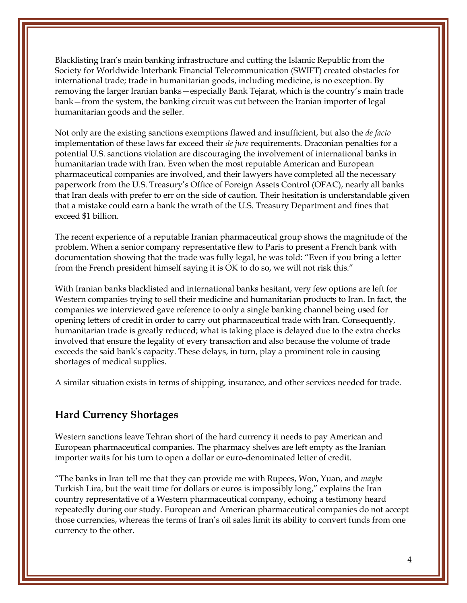Blacklisting Iran's main banking infrastructure and cutting the Islamic Republic from the Society for Worldwide Interbank Financial Telecommunication (SWIFT) created obstacles for international trade; trade in humanitarian goods, including medicine, is no exception. By removing the larger Iranian banks—especially Bank Tejarat, which is the country's main trade bank—from the system, the banking circuit was cut between the Iranian importer of legal humanitarian goods and the seller.

Not only are the existing sanctions exemptions flawed and insufficient, but also the *de facto* implementation of these laws far exceed their *de jure* requirements. Draconian penalties for a potential U.S. sanctions violation are discouraging the involvement of international banks in humanitarian trade with Iran. Even when the most reputable American and European pharmaceutical companies are involved, and their lawyers have completed all the necessary paperwork from the U.S. Treasury's Office of Foreign Assets Control (OFAC), nearly all banks that Iran deals with prefer to err on the side of caution. Their hesitation is understandable given that a mistake could earn a bank the wrath of the U.S. Treasury Department and fines that exceed \$1 billion.

The recent experience of a reputable Iranian pharmaceutical group shows the magnitude of the problem. When a senior company representative flew to Paris to present a French bank with documentation showing that the trade was fully legal, he was told: "Even if you bring a letter from the French president himself saying it is OK to do so, we will not risk this."

With Iranian banks blacklisted and international banks hesitant, very few options are left for Western companies trying to sell their medicine and humanitarian products to Iran. In fact, the companies we interviewed gave reference to only a single banking channel being used for opening letters of credit in order to carry out pharmaceutical trade with Iran. Consequently, humanitarian trade is greatly reduced; what is taking place is delayed due to the extra checks involved that ensure the legality of every transaction and also because the volume of trade exceeds the said bank's capacity. These delays, in turn, play a prominent role in causing shortages of medical supplies.

A similar situation exists in terms of shipping, insurance, and other services needed for trade.

#### **Hard Currency Shortages**

Western sanctions leave Tehran short of the hard currency it needs to pay American and European pharmaceutical companies. The pharmacy shelves are left empty as the Iranian importer waits for his turn to open a dollar or euro-denominated letter of credit.

"The banks in Iran tell me that they can provide me with Rupees, Won, Yuan, and *maybe* Turkish Lira, but the wait time for dollars or euros is impossibly long," explains the Iran country representative of a Western pharmaceutical company, echoing a testimony heard repeatedly during our study. European and American pharmaceutical companies do not accept those currencies, whereas the terms of Iran's oil sales limit its ability to convert funds from one currency to the other.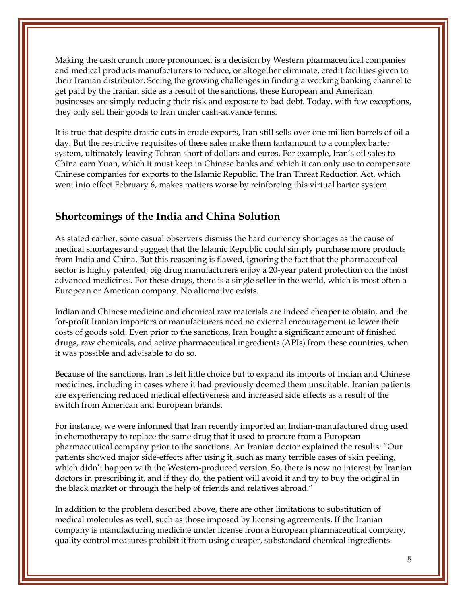Making the cash crunch more pronounced is a decision by Western pharmaceutical companies and medical products manufacturers to reduce, or altogether eliminate, credit facilities given to their Iranian distributor. Seeing the growing challenges in finding a working banking channel to get paid by the Iranian side as a result of the sanctions, these European and American businesses are simply reducing their risk and exposure to bad debt. Today, with few exceptions, they only sell their goods to Iran under cash-advance terms.

It is true that despite drastic cuts in crude exports, Iran still sells over one million barrels of oil a day. But the restrictive requisites of these sales make them tantamount to a complex barter system, ultimately leaving Tehran short of dollars and euros. For example, Iran's oil sales to China earn Yuan, which it must keep in Chinese banks and which it can only use to compensate Chinese companies for exports to the Islamic Republic. The Iran Threat Reduction Act, which went into effect February 6, makes matters worse by reinforcing this virtual barter system.

#### **Shortcomings of the India and China Solution**

As stated earlier, some casual observers dismiss the hard currency shortages as the cause of medical shortages and suggest that the Islamic Republic could simply purchase more products from India and China. But this reasoning is flawed, ignoring the fact that the pharmaceutical sector is highly patented; big drug manufacturers enjoy a 20-year patent protection on the most advanced medicines. For these drugs, there is a single seller in the world, which is most often a European or American company. No alternative exists.

Indian and Chinese medicine and chemical raw materials are indeed cheaper to obtain, and the for-profit Iranian importers or manufacturers need no external encouragement to lower their costs of goods sold. Even prior to the sanctions, Iran bought a significant amount of finished drugs, raw chemicals, and active pharmaceutical ingredients (APIs) from these countries, when it was possible and advisable to do so.

Because of the sanctions, Iran is left little choice but to expand its imports of Indian and Chinese medicines, including in cases where it had previously deemed them unsuitable. Iranian patients are experiencing reduced medical effectiveness and increased side effects as a result of the switch from American and European brands.

For instance, we were informed that Iran recently imported an Indian-manufactured drug used in chemotherapy to replace the same drug that it used to procure from a European pharmaceutical company prior to the sanctions. An Iranian doctor explained the results: "Our patients showed major side-effects after using it, such as many terrible cases of skin peeling, which didn't happen with the Western-produced version. So, there is now no interest by Iranian doctors in prescribing it, and if they do, the patient will avoid it and try to buy the original in the black market or through the help of friends and relatives abroad."

In addition to the problem described above, there are other limitations to substitution of medical molecules as well, such as those imposed by licensing agreements. If the Iranian company is manufacturing medicine under license from a European pharmaceutical company, quality control measures prohibit it from using cheaper, substandard chemical ingredients.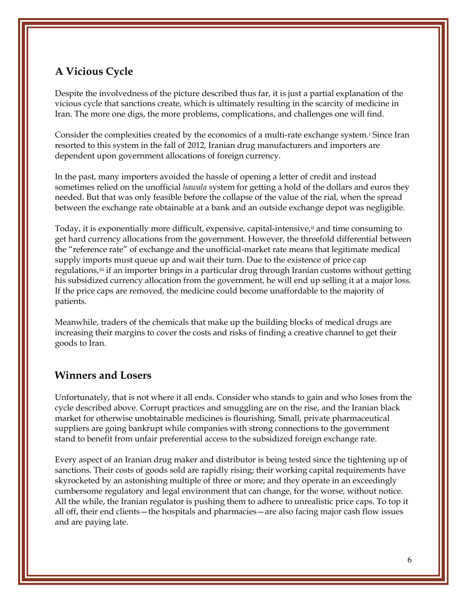### **A Vicious Cycle**

Despite the involvedness of the picture described thus far, it is just a partial explanation of the vicious cycle that sanctions create, which is ultimately resulting in the scarcity of medicine in Iran. The more one digs, the more problems, complications, and challenges one will find.

Cons[i](#page-9-0)der the complexities created by the economics of a multi-rate exchange system.<sup>i</sup> Since Iran resorted to this system in the fall of 2012, Iranian drug manufacturers and importers are dependent upon government allocations of foreign currency.

In the past, many importers avoided the hassle of opening a letter of credit and instead sometimes relied on the unofficial *hawala* system for getting a hold of the dollars and euros they needed. But that was only feasible before the collapse of the value of the rial, when the spread between the exchange rate obtainable at a bank and an outside exchange depot was negligible.

Today, it is exponentially more difficult, expensive, capital-intensive, if and time consuming to get hard currency allocations from the government. However, the threefold differential between the "reference rate" of exchange and the unofficial-market rate means that legitimate medical supply imports must queue up and wait their turn. Due to the existence of price cap regulations,[iii](#page-9-2) if an importer brings in a particular drug through Iranian customs without getting his subsidized currency allocation from the government, he will end up selling it at a major loss. If the price caps are removed, the medicine could become unaffordable to the majority of patients.

Meanwhile, traders of the chemicals that make up the building blocks of medical drugs are increasing their margins to cover the costs and risks of finding a creative channel to get their goods to Iran.

#### **Winners and Losers**

Unfortunately, that is not where it all ends. Consider who stands to gain and who loses from the cycle described above. Corrupt practices and smuggling are on the rise, and the Iranian black market for otherwise unobtainable medicines is flourishing. Small, private pharmaceutical suppliers are going bankrupt while companies with strong connections to the government stand to benefit from unfair preferential access to the subsidized foreign exchange rate.

Every aspect of an Iranian drug maker and distributor is being tested since the tightening up of sanctions. Their costs of goods sold are rapidly rising; their working capital requirements have skyrocketed by an astonishing multiple of three or more; and they operate in an exceedingly cumbersome regulatory and legal environment that can change, for the worse, without notice. All the while, the Iranian regulator is pushing them to adhere to unrealistic price caps. To top it all off, their end clients—the hospitals and pharmacies—are also facing major cash flow issues and are paying late.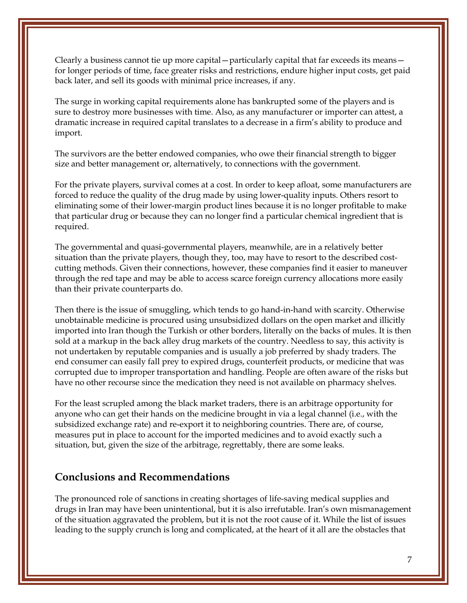Clearly a business cannot tie up more capital—particularly capital that far exceeds its means for longer periods of time, face greater risks and restrictions, endure higher input costs, get paid back later, and sell its goods with minimal price increases, if any.

The surge in working capital requirements alone has bankrupted some of the players and is sure to destroy more businesses with time. Also, as any manufacturer or importer can attest, a dramatic increase in required capital translates to a decrease in a firm's ability to produce and import.

The survivors are the better endowed companies, who owe their financial strength to bigger size and better management or, alternatively, to connections with the government.

For the private players, survival comes at a cost. In order to keep afloat, some manufacturers are forced to reduce the quality of the drug made by using lower-quality inputs. Others resort to eliminating some of their lower-margin product lines because it is no longer profitable to make that particular drug or because they can no longer find a particular chemical ingredient that is required.

The governmental and quasi-governmental players, meanwhile, are in a relatively better situation than the private players, though they, too, may have to resort to the described costcutting methods. Given their connections, however, these companies find it easier to maneuver through the red tape and may be able to access scarce foreign currency allocations more easily than their private counterparts do.

Then there is the issue of smuggling, which tends to go hand-in-hand with scarcity. Otherwise unobtainable medicine is procured using unsubsidized dollars on the open market and illicitly imported into Iran though the Turkish or other borders, literally on the backs of mules. It is then sold at a markup in the back alley drug markets of the country. Needless to say, this activity is not undertaken by reputable companies and is usually a job preferred by shady traders. The end consumer can easily fall prey to expired drugs, counterfeit products, or medicine that was corrupted due to improper transportation and handling. People are often aware of the risks but have no other recourse since the medication they need is not available on pharmacy shelves.

For the least scrupled among the black market traders, there is an arbitrage opportunity for anyone who can get their hands on the medicine brought in via a legal channel (i.e., with the subsidized exchange rate) and re-export it to neighboring countries. There are, of course, measures put in place to account for the imported medicines and to avoid exactly such a situation, but, given the size of the arbitrage, regrettably, there are some leaks.

#### **Conclusions and Recommendations**

The pronounced role of sanctions in creating shortages of life-saving medical supplies and drugs in Iran may have been unintentional, but it is also irrefutable. Iran's own mismanagement of the situation aggravated the problem, but it is not the root cause of it. While the list of issues leading to the supply crunch is long and complicated, at the heart of it all are the obstacles that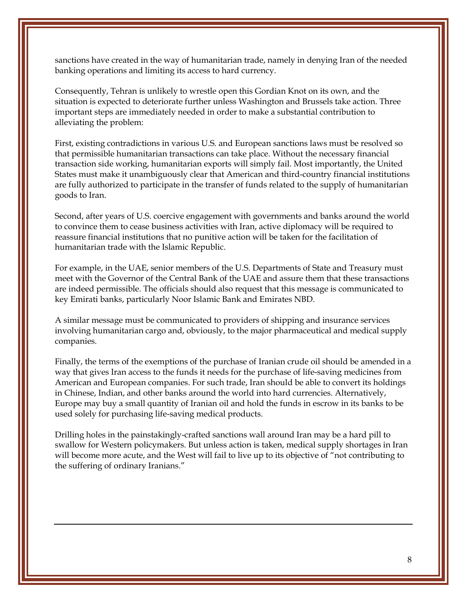sanctions have created in the way of humanitarian trade, namely in denying Iran of the needed banking operations and limiting its access to hard currency.

Consequently, Tehran is unlikely to wrestle open this Gordian Knot on its own, and the situation is expected to deteriorate further unless Washington and Brussels take action. Three important steps are immediately needed in order to make a substantial contribution to alleviating the problem:

First, existing contradictions in various U.S. and European sanctions laws must be resolved so that permissible humanitarian transactions can take place. Without the necessary financial transaction side working, humanitarian exports will simply fail. Most importantly, the United States must make it unambiguously clear that American and third-country financial institutions are fully authorized to participate in the transfer of funds related to the supply of humanitarian goods to Iran.

Second, after years of U.S. coercive engagement with governments and banks around the world to convince them to cease business activities with Iran, active diplomacy will be required to reassure financial institutions that no punitive action will be taken for the facilitation of humanitarian trade with the Islamic Republic.

For example, in the UAE, senior members of the U.S. Departments of State and Treasury must meet with the Governor of the Central Bank of the UAE and assure them that these transactions are indeed permissible. The officials should also request that this message is communicated to key Emirati banks, particularly Noor Islamic Bank and Emirates NBD.

A similar message must be communicated to providers of shipping and insurance services involving humanitarian cargo and, obviously, to the major pharmaceutical and medical supply companies.

Finally, the terms of the exemptions of the purchase of Iranian crude oil should be amended in a way that gives Iran access to the funds it needs for the purchase of life-saving medicines from American and European companies. For such trade, Iran should be able to convert its holdings in Chinese, Indian, and other banks around the world into hard currencies. Alternatively, Europe may buy a small quantity of Iranian oil and hold the funds in escrow in its banks to be used solely for purchasing life-saving medical products.

Drilling holes in the painstakingly-crafted sanctions wall around Iran may be a hard pill to swallow for Western policymakers. But unless action is taken, medical supply shortages in Iran will become more acute, and the West will fail to live up to its objective of "not contributing to the suffering of ordinary Iranians."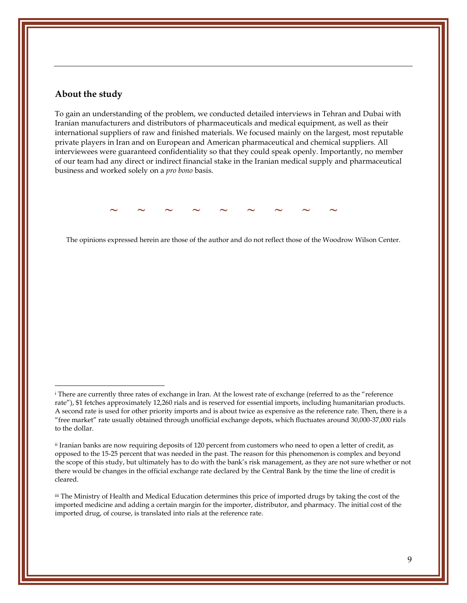#### **About the study**

To gain an understanding of the problem, we conducted detailed interviews in Tehran and Dubai with Iranian manufacturers and distributors of pharmaceuticals and medical equipment, as well as their international suppliers of raw and finished materials. We focused mainly on the largest, most reputable private players in Iran and on European and American pharmaceutical and chemical suppliers. All interviewees were guaranteed confidentiality so that they could speak openly. Importantly, no member of our team had any direct or indirect financial stake in the Iranian medical supply and pharmaceutical business and worked solely on a *pro bono* basis.

**~ ~ ~ ~ ~ ~ ~ ~ ~**

The opinions expressed herein are those of the author and do not reflect those of the Woodrow Wilson Center.

<span id="page-9-2"></span>iii The Ministry of Health and Medical Education determines this price of imported drugs by taking the cost of the imported medicine and adding a certain margin for the importer, distributor, and pharmacy. The initial cost of the imported drug, of course, is translated into rials at the reference rate.

<span id="page-9-0"></span>i There are currently three rates of exchange in Iran. At the lowest rate of exchange (referred to as the "reference rate"), \$1 fetches approximately 12,260 rials and is reserved for essential imports, including humanitarian products. A second rate is used for other priority imports and is about twice as expensive as the reference rate. Then, there is a "free market" rate usually obtained through unofficial exchange depots, which fluctuates around 30,000-37,000 rials to the dollar.

<span id="page-9-1"></span>ii Iranian banks are now requiring deposits of 120 percent from customers who need to open a letter of credit, as opposed to the 15-25 percent that was needed in the past. The reason for this phenomenon is complex and beyond the scope of this study, but ultimately has to do with the bank's risk management, as they are not sure whether or not there would be changes in the official exchange rate declared by the Central Bank by the time the line of credit is cleared.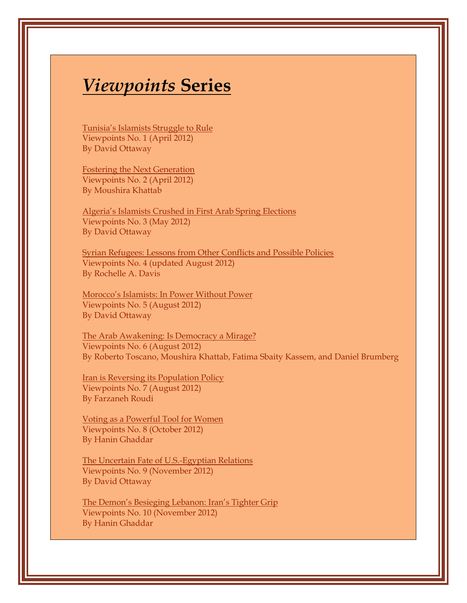## *Viewpoints* **Series**

[Tunisia's Islamists Struggle to Rule](http://www.wilsoncenter.org/publication/tunisia%E2%80%99s-islamists-struggle-to-rule) Viewpoints No. 1 (April 2012) By David Ottaway

[Fostering the Next Generation](http://www.wilsoncenter.org/publication/fostering-the-next-generation) Viewpoints No. 2 (April 2012) By Moushira Khattab

[Algeria's Islamists Crushed in First Arab Spring](http://www.wilsoncenter.org/publication/algeria%E2%80%99s-islamists-crushed-first-arab-spring-elections) Elections Viewpoints No. 3 (May 2012) By David Ottaway

[Syrian Refugees: Lessons from Other Conflicts and](http://www.wilsoncenter.org/publication/syrian-refugees-lessons-other-conflicts-and-possible-policies) Possible Policies Viewpoints No. 4 (updated August 2012) By Rochelle A. Davis

[Morocco's Islamists: In Power Without Power](http://www.wilsoncenter.org/publication/morocco%E2%80%99s-islamists-power-without-power) Viewpoints No. 5 (August 2012) By David Ottaway

[The Arab Awakening: Is Democracy a Mirage?](http://www.wilsoncenter.org/publication/the-arab-awakening-democracy-mirage) Viewpoints No. 6 (August 2012) By Roberto Toscano, Moushira Khattab, Fatima Sbaity Kassem, and Daniel Brumberg

[Iran is Reversing its Population Policy](http://www.wilsoncenter.org/publication/iran-reversing-its-population-policy)  Viewpoints No. 7 (August 2012) By Farzaneh Roudi

[Voting as a Powerful Tool for Women](http://www.wilsoncenter.org/publication/voting-powerful-tool-for-women)  Viewpoints No. 8 (October 2012) By Hanin Ghaddar

[The Uncertain Fate of U.S.-Egyptian Relations](http://www.wilsoncenter.org/publication/the-uncertain-fate-us-egyptian-relations) Viewpoints No. 9 (November 2012) By David Ottaway

[The Demon's Besieging Lebanon: Iran's Tighter Grip](http://www.wilsoncenter.org/publication/the-demons-besieging-lebanon-iran%E2%80%99s-tighter-grip)  Viewpoints No. 10 (November 2012) By Hanin Ghaddar